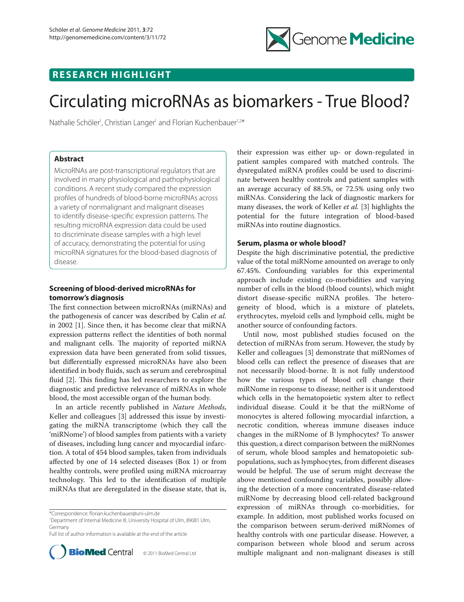

# **RESEARCH HIGHLIGHT**

# Circulating microRNAs as biomarkers - True Blood?

Nathalie Schöler<sup>1</sup>, Christian Langer<sup>1</sup> and Florian Kuchenbauer<sup>1,2\*</sup>

# **Abstract**

MicroRNAs are post-transcriptional regulators that are involved in many physiological and pathophysiological conditions. A recent study compared the expression profiles of hundreds of blood-borne microRNAs across a variety of nonmalignant and malignant diseases to identify disease-specific expression patterns. The resulting microRNA expression data could be used to discriminate disease samples with a high level of accuracy, demonstrating the potential for using microRNA signatures for the blood-based diagnosis of disease.

# **Screening of blood-derived microRNAs for tomorrow's diagnosis**

The first connection between microRNAs (miRNAs) and the pathogenesis of cancer was described by Calin *et al.* in 2002 [1]. Since then, it has become clear that miRNA expression patterns reflect the identities of both normal and malignant cells. The majority of reported miRNA expression data have been generated from solid tissues, but differentially expressed microRNAs have also been identified in body fluids, such as serum and cerebrospinal fluid [2]. This finding has led researchers to explore the diagnostic and predictive relevance of miRNAs in whole blood, the most accessible organ of the human body.

In an article recently published in *Nature Methods*, Keller and colleagues [3] addressed this issue by investigating the miRNA transcriptome (which they call the 'miRNome') of blood samples from patients with a variety of diseases, including lung cancer and myocardial infarction. A total of 454 blood samples, taken from individuals affected by one of 14 selected diseases (Box 1) or from healthy controls, were profiled using miRNA microarray technology. This led to the identification of multiple miRNAs that are deregulated in the disease state, that is,

Full list of author information is available at the end of the article



their expression was either up- or down-regulated in patient samples compared with matched controls. The dysregulated miRNA profiles could be used to discriminate between healthy controls and patient samples with an average accuracy of 88.5%, or 72.5% using only two miRNAs. Considering the lack of diagnostic markers for many diseases, the work of Keller *et al.* [3] highlights the potential for the future integration of blood-based miRNAs into routine diagnostics.

# **Serum, plasma or whole blood?**

Despite the high discriminative potential, the predictive value of the total miRNome amounted on average to only 67.45%. Confounding variables for this experimental approach include existing co-morbidities and varying number of cells in the blood (blood counts), which might distort disease-specific miRNA profiles. The heterogeneity of blood, which is a mixture of platelets, erythrocytes, myeloid cells and lymphoid cells, might be another source of confounding factors.

Until now, most published studies focused on the detection of miRNAs from serum. However, the study by Keller and colleagues [3] demonstrate that miRNomes of blood cells can reflect the presence of diseases that are not necessarily blood-borne. It is not fully understood how the various types of blood cell change their miRNome in response to disease; neither is it understood which cells in the hematopoietic system alter to reflect individual disease. Could it be that the miRNome of monocytes is altered following myocardial infarction, a necrotic condition, whereas immune diseases induce changes in the miRNome of B lymphocytes? To answer this question, a direct comparison between the miRNomes of serum, whole blood samples and hematopoietic subpopulations, such as lymphocytes, from different diseases would be helpful. The use of serum might decrease the above mentioned confounding variables, possibly allowing the detection of a more concentrated disease-related miRNome by decreasing blood cell-related background expression of miRNAs through co-morbidities, for example. In addition, most published works focused on the comparison between serum-derived miRNomes of healthy controls with one particular disease. However, a comparison between whole blood and serum across multiple malignant and non-malignant diseases is still

<sup>\*</sup>Correspondence: florian.kuchenbauer@uni-ulm.de

<sup>1</sup> Department of Internal Medicine III, University Hospital of Ulm, 89081 Ulm, Germany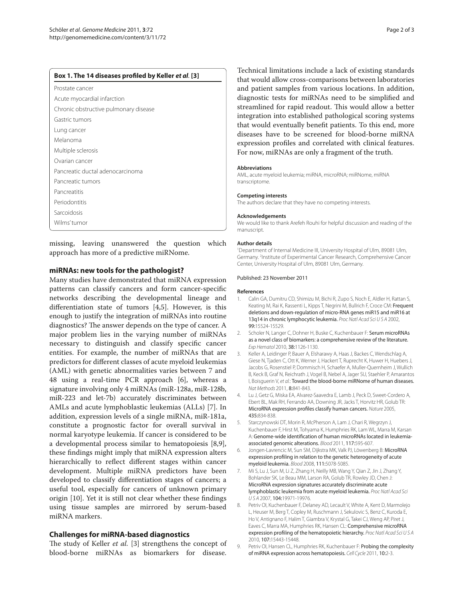Prostate cancer

Acute myocardial infarction Chronic obstructive pulmonary disease Gastric tumors Lung cancer Melanoma Multiple sclerosis Ovarian cancer Pancreatic ductal adenocarcinoma Pancreatic tumors Pancreatitis Periodontitis Sarcoidosis Wilms' tumor

missing, leaving unanswered the question which approach has more of a predictive miRNome.

## **miRNAs: new tools for the pathologist?**

Many studies have demonstrated that miRNA expression patterns can classify cancers and form cancer-specific networks describing the developmental lineage and differentiation state of tumors [4,5]. However, is this enough to justify the integration of miRNAs into routine diagnostics? The answer depends on the type of cancer. A major problem lies in the varying number of miRNAs necessary to distinguish and classify specific cancer entities. For example, the number of miRNAs that are predictors for different classes of acute myeloid leukemias (AML) with genetic abnormalities varies between 7 and 48 using a real-time PCR approach [6], whereas a signature involving only 4 miRNAs (miR-128a, miR-128b, miR-223 and let-7b) accurately discriminates between AMLs and acute lymphoblastic leukemias (ALLs) [7]. In addition, expression levels of a single miRNA, miR-181a, constitute a prognostic factor for overall survival in normal karyotype leukemia. If cancer is considered to be a developmental process similar to hematopoiesis [8,9], these findings might imply that miRNA expression alters hierarchically to reflect different stages within cancer development. Multiple miRNA predictors have been developed to classify differentiation stages of cancers; a useful tool, especially for cancers of unknown primary origin [10]. Yet it is still not clear whether these findings using tissue samples are mirrored by serum-based miRNA markers.

## **Challenges for miRNA-based diagnostics**

The study of Keller *et al.* [3] strengthens the concept of blood-borne miRNAs as biomarkers for disease.

Technical limitations include a lack of existing standards that would allow cross-comparisons between laboratories and patient samples from various locations. In addition, diagnostic tests for miRNAs need to be simplified and streamlined for rapid readout. This would allow a better integration into established pathological scoring systems that would eventually benefit patients. To this end, more diseases have to be screened for blood-borne miRNA expression profiles and correlated with clinical features. For now, miRNAs are only a fragment of the truth.

#### **Abbreviations**

AML, acute myeloid leukemia; miRNA, microRNA; miRNome, miRNA transcriptome.

#### **Competing interests**

The authors declare that they have no competing interests.

#### **Acknowledgements**

We would like to thank Arefeh Rouhi for helpful discussion and reading of the manuscript.

#### **Author details**

1 Department of Internal Medicine III, University Hospital of Ulm, 89081 Ulm, Germany. 2 Institute of Experimental Cancer Research, Comprehensive Cancer Center, University Hospital of Ulm, 89081 Ulm, Germany.

#### Published: 23 November 2011

#### **References**

- 1. Calin GA, Dumitru CD, Shimizu M, Bichi R, Zupo S, Noch E, Aldler H, Rattan S, Keating M, Rai K, Rassenti L, Kipps T, Negrini M, Bullrich F, Croce CM: Frequent deletions and down-regulation of micro-RNA genes miR15 and miR16 at 13q14 in chronic lymphocytic leukemia. *Proc Natl Acad Sci U S A* 2002, 99:15524-15529.
- 2. Scholer N, Langer C, Dohner H, Buske C, Kuchenbauer F: Serum microRNAs as a novel class of biomarkers: a comprehensive review of the literature. *Exp Hematol* 2010, 38:1126-1130.
- 3. Keller A, Leidinger P, Bauer A, Elsharawy A, Haas J, Backes C, Wendschlag A, Giese N, Tjaden C, Ott K, Werner J, Hackert T, Ruprecht K, Huwer H, Huebers J, Jacobs G, Rosenstiel P, Dommisch H, Schaefer A, Muller-Quernheim J, Wullich B, Keck B, Graf N, Reichrath J, Vogel B, Nebel A, Jager SU, Staehler P, Amarantos I, Boisguerin V, *et al.*: Toward the blood-borne miRNome of human diseases. *Nat Methods* 2011, 8:841-843.
- 4. Lu J, Getz G, Miska EA, Alvarez-Saavedra E, Lamb J, Peck D, Sweet-Cordero A, Ebert BL, Mak RH, Ferrando AA, Downing JR, Jacks T, Horvitz HR, Golub TR: MicroRNA expression profiles classify human cancers. *Nature* 2005, 435:834-838.
- 5. Starczynowski DT, Morin R, McPherson A, Lam J, Chari R, Wegrzyn J, Kuchenbauer F, Hirst M, Tohyama K, Humphries RK, Lam WL, Marra M, Karsan A: Genome-wide identification of human microRNAs located in leukemiaassociated genomic alterations. *Blood* 2011, 117:595-607.
- 6. Jongen-Lavrencic M, Sun SM, Dijkstra MK, Valk PJ, Löwenberg B: MicroRNA expression profiling in relation to the genetic heterogeneity of acute myeloid leukemia. *Blood* 2008, 111:5078-5085.
- 7. Mi S, Lu J, Sun M, Li Z, Zhang H, Neilly MB, Wang Y, Qian Z, Jin J, Zhang Y, Bohlander SK, Le Beau MM, Larson RA, Golub TR, Rowley JD, Chen J: MicroRNA expression signatures accurately discriminate acute lymphoblastic leukemia from acute myeloid leukemia. *Proc Natl Acad Sci U S A* 2007, 104:19971-19976.
- 8. Petriv OI, Kuchenbauer F, Delaney AD, Lecault V, White A, Kent D, Marmolejo L, Heuser M, Berg T, Copley M, Ruschmann J, Sekulovic S, Benz C, Kuroda E, Ho V, Antignano F, Halim T, Giambra V, Krystal G, Takei CJ, Weng AP, Piret J, Eaves C, Marra MA, Humphries RK, Hansen CL: Comprehensive microRNA expression profiling of the hematopoietic hierarchy. *Proc Natl Acad Sci U S A*  2010, 107:15443-15448.
- 9. Petriv OI, Hansen CL, Humphries RK, Kuchenbauer F: Probing the complexity of miRNA expression across hematopoiesis. *Cell Cycle* 2011, 10:2-3.